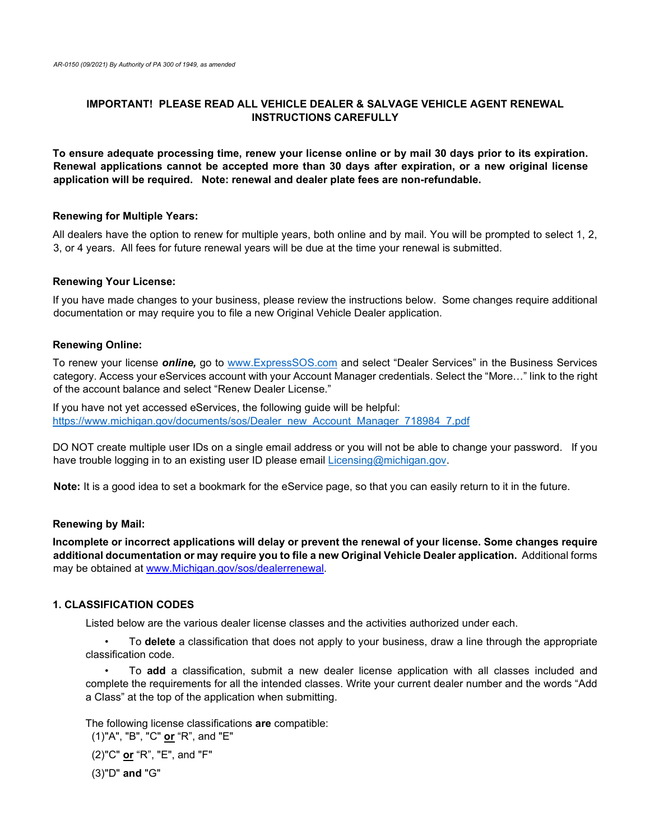## **IMPORTANT! PLEASE READ ALL VEHICLE DEALER & SALVAGE VEHICLE AGENT RENEWAL INSTRUCTIONS CAREFULLY**

**To ensure adequate processing time, renew your license online or by mail 30 days prior to its expiration. Renewal applications cannot be accepted more than 30 days after expiration, or a new original license application will be required. Note: renewal and dealer plate fees are non-refundable.**

#### **Renewing for Multiple Years:**

All dealers have the option to renew for multiple years, both online and by mail. You will be prompted to select 1, 2, 3, or 4 years. All fees for future renewal years will be due at the time your renewal is submitted.

#### **Renewing Your License:**

If you have made changes to your business, please review the instructions below. Some changes require additional documentation or may require you to file a new Original Vehicle Dealer application.

#### **Renewing Online:**

To renew your license *online,* go to [www.ExpressSOS.com](http://www.expresssos.com/) and select "Dealer Services" in the Business Services category. Access your eServices account with your Account Manager credentials. Select the "More…" link to the right of the account balance and select "Renew Dealer License."

If you have not yet accessed eServices, the following guide will be helpful: [https://www.michigan.gov/documents/sos/Dealer\\_new\\_Account\\_Manager\\_718984\\_7.pdf](https://www.michigan.gov/documents/sos/Dealer_new_Account_Manager_718984_7.pdf)

DO NOT create multiple user IDs on a single email address or you will not be able to change your password. If you have trouble logging in to an existing user ID please email [Licensing@michigan.gov.](mailto:Licensing@michigan.gov)

**Note:** It is a good idea to set a bookmark for the eService page, so that you can easily return to it in the future.

#### **Renewing by Mail:**

**Incomplete or incorrect applications will delay or prevent the renewal of your license. Some changes require additional documentation or may require you to file a new Original Vehicle Dealer application.** Additional forms may be obtained at [www.Michigan.gov/sos/dealerrenewal.](http://www.michigan.gov/sos/dealerrenewal) 

#### **1. CLASSIFICATION CODES**

Listed below are the various dealer license classes and the activities authorized under each.

• To **delete** a classification that does not apply to your business, draw a line through the appropriate classification code.

• To **add** a classification, submit a new dealer license application with all classes included and complete the requirements for all the intended classes. Write your current dealer number and the words "Add a Class" at the top of the application when submitting.

The following license classifications **are** compatible: (1)"A", "B", "C" **or** "R", and "E"

(2)"C" **or** "R", "E", and "F"

(3)"D" **and** "G"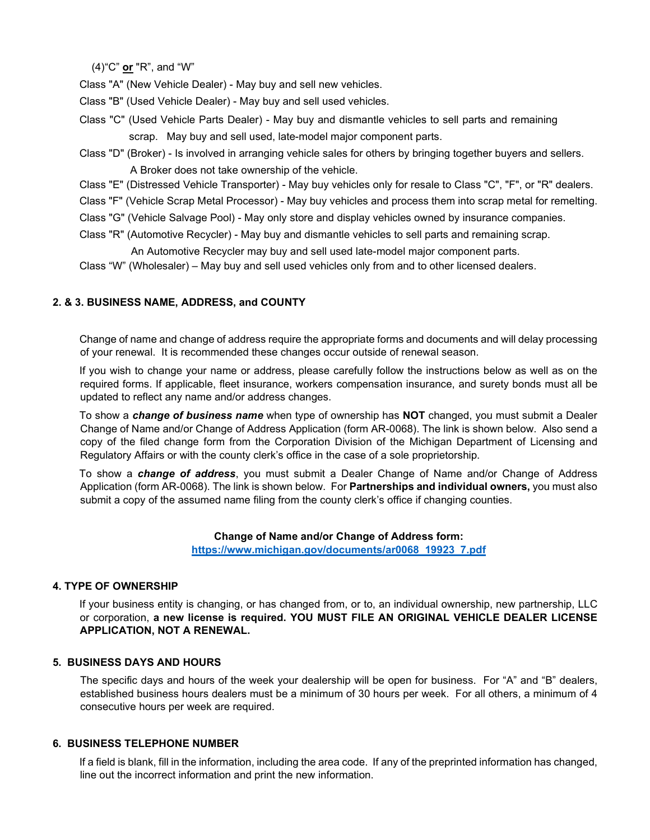(4)"C" **or** "R", and "W"

Class "A" (New Vehicle Dealer) - May buy and sell new vehicles.

Class "B" (Used Vehicle Dealer) - May buy and sell used vehicles.

- Class "C" (Used Vehicle Parts Dealer) May buy and dismantle vehicles to sell parts and remaining scrap. May buy and sell used, late-model major component parts.
- Class "D" (Broker) Is involved in arranging vehicle sales for others by bringing together buyers and sellers. A Broker does not take ownership of the vehicle.
- Class "E" (Distressed Vehicle Transporter) May buy vehicles only for resale to Class "C", "F", or "R" dealers.
- Class "F" (Vehicle Scrap Metal Processor) May buy vehicles and process them into scrap metal for remelting.
- Class "G" (Vehicle Salvage Pool) May only store and display vehicles owned by insurance companies.
- Class "R" (Automotive Recycler) May buy and dismantle vehicles to sell parts and remaining scrap.

An Automotive Recycler may buy and sell used late-model major component parts.

Class "W" (Wholesaler) – May buy and sell used vehicles only from and to other licensed dealers.

# **2. & 3. BUSINESS NAME, ADDRESS, and COUNTY**

Change of name and change of address require the appropriate forms and documents and will delay processing of your renewal. It is recommended these changes occur outside of renewal season.

If you wish to change your name or address, please carefully follow the instructions below as well as on the required forms. If applicable, fleet insurance, workers compensation insurance, and surety bonds must all be updated to reflect any name and/or address changes.

To show a *change of business name* when type of ownership has **NOT** changed, you must submit a Dealer Change of Name and/or Change of Address Application (form AR-0068). The link is shown below. Also send a copy of the filed change form from the Corporation Division of the Michigan Department of Licensing and Regulatory Affairs or with the county clerk's office in the case of a sole proprietorship.

To show a *change of address*, you must submit a Dealer Change of Name and/or Change of Address Application (form AR-0068). The link is shown below. For **Partnerships and individual owners,** you must also submit a copy of the assumed name filing from the county clerk's office if changing counties.

#### **Change of Name and/or Change of Address form:**

**[https://www.michigan.gov/documents/ar0068\\_19923\\_7.pdf](https://www.michigan.gov/documents/ar0068_19923_7.pdf)**

# **4. TYPE OF OWNERSHIP**

If your business entity is changing, or has changed from, or to, an individual ownership, new partnership, LLC or corporation, **a new license is required. YOU MUST FILE AN ORIGINAL VEHICLE DEALER LICENSE APPLICATION, NOT A RENEWAL.**

#### **5. BUSINESS DAYS AND HOURS**

 The specific days and hours of the week your dealership will be open for business. For "A" and "B" dealers, established business hours dealers must be a minimum of 30 hours per week. For all others, a minimum of 4 consecutive hours per week are required.

## **6. BUSINESS TELEPHONE NUMBER**

If a field is blank, fill in the information, including the area code. If any of the preprinted information has changed, line out the incorrect information and print the new information.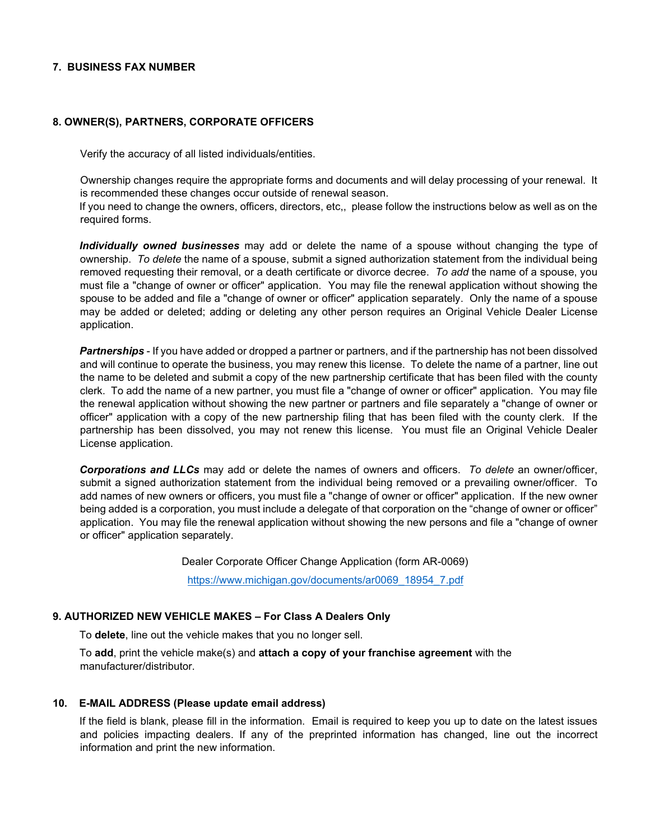## **7. BUSINESS FAX NUMBER**

## **8. OWNER(S), PARTNERS, CORPORATE OFFICERS**

Verify the accuracy of all listed individuals/entities.

Ownership changes require the appropriate forms and documents and will delay processing of your renewal. It is recommended these changes occur outside of renewal season.

If you need to change the owners, officers, directors, etc,, please follow the instructions below as well as on the required forms.

*Individually owned businesses* may add or delete the name of a spouse without changing the type of ownership. *To delete* the name of a spouse, submit a signed authorization statement from the individual being removed requesting their removal, or a death certificate or divorce decree. *To add* the name of a spouse, you must file a "change of owner or officer" application. You may file the renewal application without showing the spouse to be added and file a "change of owner or officer" application separately. Only the name of a spouse may be added or deleted; adding or deleting any other person requires an Original Vehicle Dealer License application.

*Partnerships* - If you have added or dropped a partner or partners, and if the partnership has not been dissolved and will continue to operate the business, you may renew this license. To delete the name of a partner, line out the name to be deleted and submit a copy of the new partnership certificate that has been filed with the county clerk. To add the name of a new partner, you must file a "change of owner or officer" application. You may file the renewal application without showing the new partner or partners and file separately a "change of owner or officer" application with a copy of the new partnership filing that has been filed with the county clerk. If the partnership has been dissolved, you may not renew this license. You must file an Original Vehicle Dealer License application.

*Corporations and LLCs* may add or delete the names of owners and officers. *To delete* an owner/officer, submit a signed authorization statement from the individual being removed or a prevailing owner/officer. To add names of new owners or officers, you must file a "change of owner or officer" application. If the new owner being added is a corporation, you must include a delegate of that corporation on the "change of owner or officer" application. You may file the renewal application without showing the new persons and file a "change of owner or officer" application separately.

Dealer Corporate Officer Change Application (form AR-0069)

[https://www.michigan.gov/documents/ar0069\\_18954\\_7.pdf](https://www.michigan.gov/documents/ar0069_18954_7.pdf)

#### **9. AUTHORIZED NEW VEHICLE MAKES – For Class A Dealers Only**

To **delete**, line out the vehicle makes that you no longer sell.

To **add**, print the vehicle make(s) and **attach a copy of your franchise agreement** with the manufacturer/distributor.

#### **10. E-MAIL ADDRESS (Please update email address)**

If the field is blank, please fill in the information. Email is required to keep you up to date on the latest issues and policies impacting dealers. If any of the preprinted information has changed, line out the incorrect information and print the new information.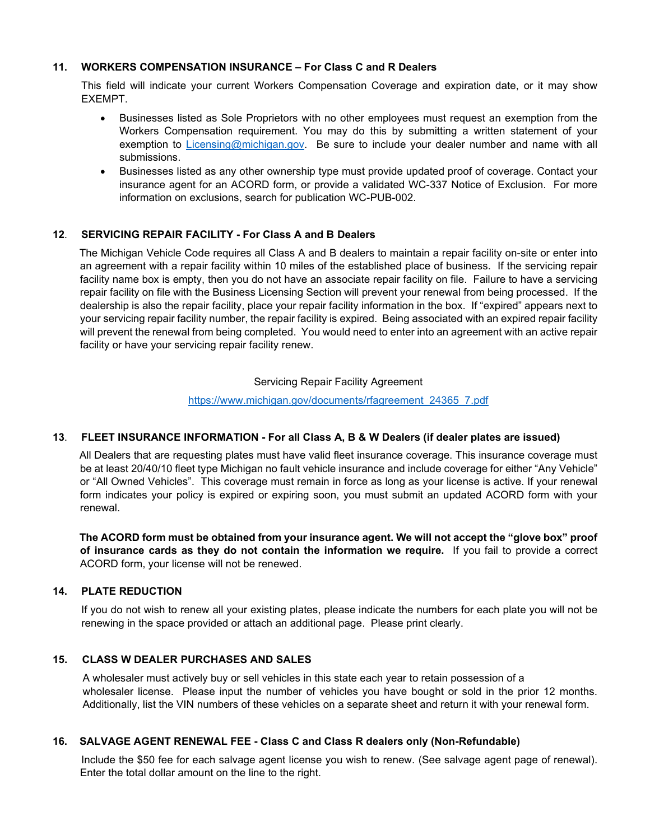## **11. WORKERS COMPENSATION INSURANCE – For Class C and R Dealers**

This field will indicate your current Workers Compensation Coverage and expiration date, or it may show EXEMPT.

- Businesses listed as Sole Proprietors with no other employees must request an exemption from the Workers Compensation requirement. You may do this by submitting a written statement of your exemption to [Licensing@michigan.gov.](mailto:Licensing@michigan.gov) Be sure to include your dealer number and name with all submissions.
- Businesses listed as any other ownership type must provide updated proof of coverage. Contact your insurance agent for an ACORD form, or provide a validated WC-337 Notice of Exclusion. For more information on exclusions, search for publication WC-PUB-002.

## **12**. **SERVICING REPAIR FACILITY - For Class A and B Dealers**

The Michigan Vehicle Code requires all Class A and B dealers to maintain a repair facility on-site or enter into an agreement with a repair facility within 10 miles of the established place of business. If the servicing repair facility name box is empty, then you do not have an associate repair facility on file. Failure to have a servicing repair facility on file with the Business Licensing Section will prevent your renewal from being processed. If the dealership is also the repair facility, place your repair facility information in the box. If "expired" appears next to your servicing repair facility number, the repair facility is expired. Being associated with an expired repair facility will prevent the renewal from being completed. You would need to enter into an agreement with an active repair facility or have your servicing repair facility renew.

#### Servicing Repair Facility Agreement

[https://www.michigan.gov/documents/rfagreement\\_24365\\_7.pdf](https://www.michigan.gov/documents/rfagreement_24365_7.pdf)

# **13**. **FLEET INSURANCE INFORMATION - For all Class A, B & W Dealers (if dealer plates are issued)**

All Dealers that are requesting plates must have valid fleet insurance coverage. This insurance coverage must be at least 20/40/10 fleet type Michigan no fault vehicle insurance and include coverage for either "Any Vehicle" or "All Owned Vehicles". This coverage must remain in force as long as your license is active. If your renewal form indicates your policy is expired or expiring soon, you must submit an updated ACORD form with your renewal.

**The ACORD form must be obtained from your insurance agent. We will not accept the "glove box" proof of insurance cards as they do not contain the information we require.** If you fail to provide a correct ACORD form, your license will not be renewed.

### **14. PLATE REDUCTION**

If you do not wish to renew all your existing plates, please indicate the numbers for each plate you will not be renewing in the space provided or attach an additional page. Please print clearly.

## **15. CLASS W DEALER PURCHASES AND SALES**

 A wholesaler must actively buy or sell vehicles in this state each year to retain possession of a wholesaler license. Please input the number of vehicles you have bought or sold in the prior 12 months. Additionally, list the VIN numbers of these vehicles on a separate sheet and return it with your renewal form.

# **16. SALVAGE AGENT RENEWAL FEE - Class C and Class R dealers only (Non-Refundable)**

Include the \$50 fee for each salvage agent license you wish to renew. (See salvage agent page of renewal). Enter the total dollar amount on the line to the right.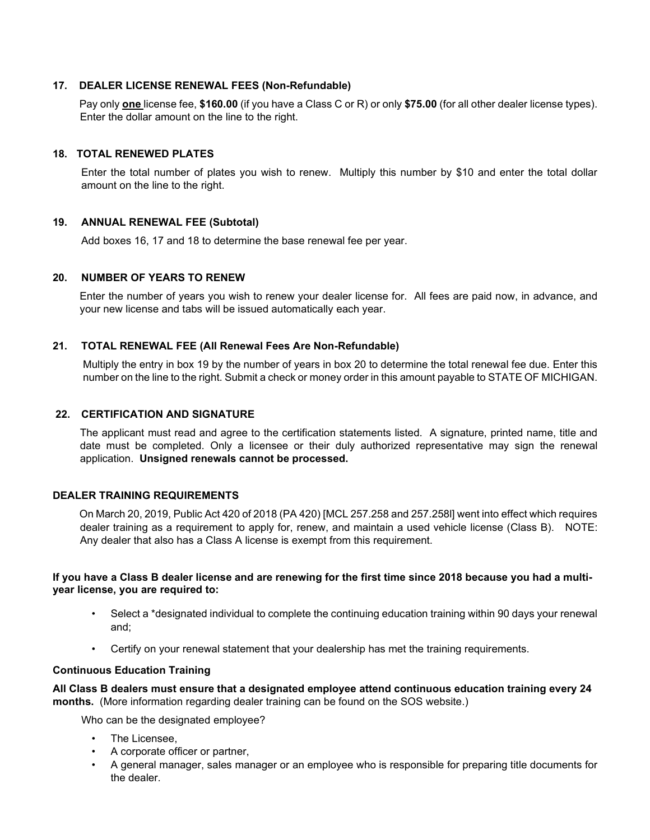## **17. DEALER LICENSE RENEWAL FEES (Non-Refundable)**

Pay only **one** license fee, **\$160.00** (if you have a Class C or R) or only **\$75.00** (for all other dealer license types). Enter the dollar amount on the line to the right.

### **18. TOTAL RENEWED PLATES**

Enter the total number of plates you wish to renew. Multiply this number by \$10 and enter the total dollar amount on the line to the right.

# **19. ANNUAL RENEWAL FEE (Subtotal)**

Add boxes 16, 17 and 18 to determine the base renewal fee per year.

#### **20. NUMBER OF YEARS TO RENEW**

Enter the number of years you wish to renew your dealer license for. All fees are paid now, in advance, and your new license and tabs will be issued automatically each year.

## **21. TOTAL RENEWAL FEE (All Renewal Fees Are Non-Refundable)**

Multiply the entry in box 19 by the number of years in box 20 to determine the total renewal fee due. Enter this number on the line to the right. Submit a check or money order in this amount payable to STATE OF MICHIGAN.

### **22. CERTIFICATION AND SIGNATURE**

The applicant must read and agree to the certification statements listed. A signature, printed name, title and date must be completed. Only a licensee or their duly authorized representative may sign the renewal application. **Unsigned renewals cannot be processed.** 

# **DEALER TRAINING REQUIREMENTS**

On March 20, 2019, Public Act 420 of 2018 (PA 420) [MCL 257.258 and 257.258l] went into effect which requires dealer training as a requirement to apply for, renew, and maintain a used vehicle license (Class B). NOTE: Any dealer that also has a Class A license is exempt from this requirement.

## **If you have a Class B dealer license and are renewing for the first time since 2018 because you had a multiyear license, you are required to:**

- Select a \*designated individual to complete the continuing education training within 90 days your renewal and;
- Certify on your renewal statement that your dealership has met the training requirements.

### **Continuous Education Training**

**All Class B dealers must ensure that a designated employee attend continuous education training every 24 months.** (More information regarding dealer training can be found on the SOS website.)

Who can be the designated employee?

- The Licensee,
- A corporate officer or partner,
- A general manager, sales manager or an employee who is responsible for preparing title documents for the dealer.